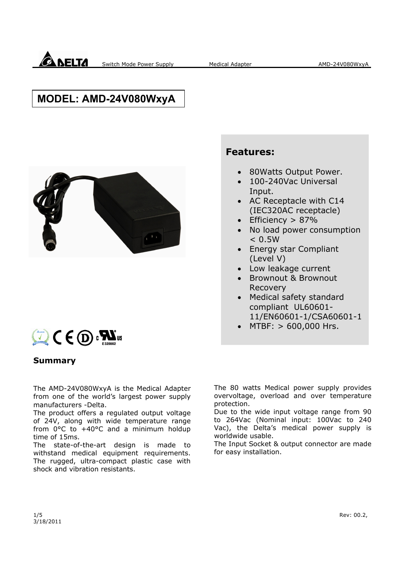

## **MODEL: AMD-24V080WxyA**



# $C \in \mathbb{Q}$  :  $\mathbb{R}^n$ us

#### **Summary**

The AMD-24V080WxyA is the Medical Adapter from one of the world's largest power supply manufacturers -Delta.

The product offers a regulated output voltage of 24V, along with wide temperature range from 0°C to +40°C and a minimum holdup time of 15ms.

The state-of-the-art design is made to withstand medical equipment requirements. The rugged, ultra-compact plastic case with shock and vibration resistants.

The 80 watts Medical power supply provides overvoltage, overload and over temperature protection.

Due to the wide input voltage range from 90 to 264Vac (Nominal input: 100Vac to 240 Vac), the Delta's medical power supply is worldwide usable.

The Input Socket & output connector are made for easy installation.

#### $1/5$  Rev: 00.2, 3/18/2011

#### **Features:**

- 80Watts Output Power.
- 100-240Vac Universal Input.
- AC Receptacle with C14 (IEC320AC receptacle)
- $\bullet$  Efficiency > 87%
- No load power consumption  $< 0.5W$
- Energy star Compliant (Level V)
- Low leakage current
- Brownout & Brownout Recovery
- Medical safety standard compliant UL60601- 11/EN60601-1/CSA60601-1
- MTBF: > 600,000 Hrs.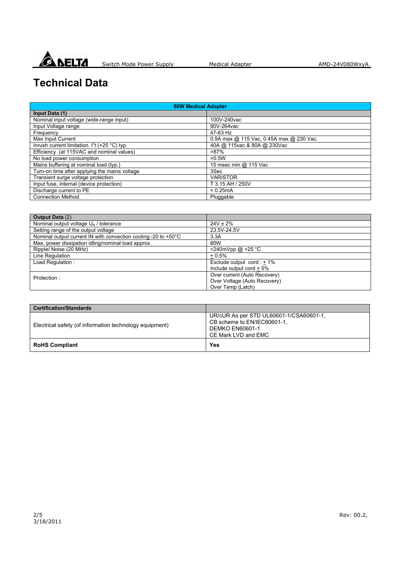

## **Technical Data**

| <b>80W Medical Adapter</b>                      |                                          |
|-------------------------------------------------|------------------------------------------|
| Input Data (1)                                  |                                          |
| Nominal input voltage (wide-range input)        | 100V-240vac                              |
| Input Voltage range                             | 90V-264vac                               |
| Frequency                                       | 47-63 Hz                                 |
| Max Input Current                               | 0.9A max @ 115 Vac, 0.45A max @ 230 Vac. |
| Inrush current limitation. $I^2t$ (+25 °C) typ. | 40A @ 115vac & 80A @ 230Vac              |
| Efficiency (at 115VAC and nominal values)       | $>87\%$                                  |
| No load power consumption                       | >0.5W                                    |
| Mains buffering at nominal load (typ.)          | 15 msec min @ 115 Vac                    |
| Turn-on time after applying the mains voltage   | 3Sec                                     |
| Transient surge voltage protection              | <b>VARISTOR</b>                          |
| Input fuse, internal (device protection)        | T 3.15 AH / 250V                         |
| Discharge current to PE                         | < 0.25mA                                 |
| <b>Connection Method</b>                        | Pluggable                                |

| <b>Output Data (2)</b>                                         |                                    |
|----------------------------------------------------------------|------------------------------------|
| Nominal output voltage $U_N$ / tolerance                       | $24V \pm 2\%$                      |
| Setting range of the output voltage                            | 23.5V-24.5V                        |
| Nominal output current IN with convection cooling:-20 to +50°C | 3.3A                               |
| Max. power dissipation idling/nominal load approx.             | 80W                                |
| Ripple/ Noise (20 MHz)                                         | $240mVpp @ +25°C$                  |
| Line Regulation                                                | $+0.5%$                            |
| Load Regulation:                                               | Exclude output $\text{cord}: +1\%$ |
|                                                                | Include output cord $+5\%$         |
| Protection:                                                    | Over current (Auto Recovery)       |
|                                                                | Over Voltage (Auto Recovery)       |
|                                                                | Over Temp (Latch)                  |

| <b>Certification/Standards</b>                          |                                                                                                                         |
|---------------------------------------------------------|-------------------------------------------------------------------------------------------------------------------------|
| Electrical safety (of information technology equipment) | UR/cUR As per STD UL60601-1/CSA60601-1.<br>CB scheme to EN/IEC60601-1,<br><b>DEMKO EN60601-1</b><br>CE Mark LVD and EMC |
| <b>RoHS Compliant</b>                                   | Yes                                                                                                                     |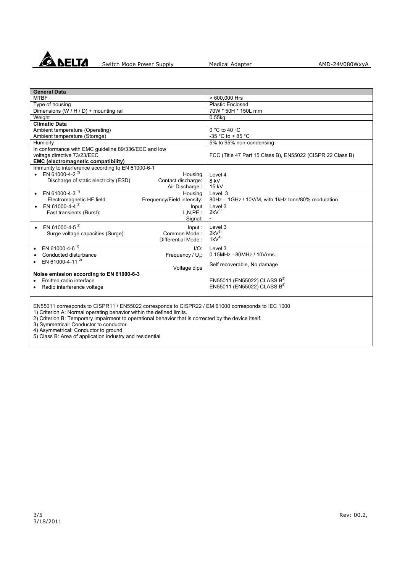

| <b>General Data</b>                                                                                |                              |                                                            |
|----------------------------------------------------------------------------------------------------|------------------------------|------------------------------------------------------------|
| <b>MTBF</b>                                                                                        |                              | > 600,000 Hrs                                              |
| Type of housing                                                                                    |                              | <b>Plastic Enclosed</b>                                    |
| Dimensions (W / H / D) + mounting rail                                                             |                              | 70W * 50H * 150L mm                                        |
| Weight                                                                                             |                              | $0.55$ kg.                                                 |
| <b>Climatic Data</b>                                                                               |                              |                                                            |
| Ambient temperature (Operating)                                                                    |                              | $0 °C$ to 40 $°C$                                          |
| Ambient temperature (Storage)                                                                      |                              | -35 °C to + 85 °C                                          |
| Humidity                                                                                           |                              | 5% to 95% non-condensing                                   |
| In conformance with EMC guideline 89/336/EEC and low                                               |                              |                                                            |
| voltage directive 73/23/EEC                                                                        |                              | FCC (Title 47 Part 15 Class B), EN55022 (CISPR 22 Class B) |
| <b>EMC (electromagnetic compatibility)</b>                                                         |                              |                                                            |
| Immunity to interference according to EN 61000-6-1                                                 |                              |                                                            |
| • EN 61000-4-2 <sup>2)</sup>                                                                       | Housing                      | Level 4                                                    |
| Contact discharge:<br>Discharge of static electricity (ESD)                                        |                              | 8 kV                                                       |
|                                                                                                    | Air Discharge:               | 15 kV                                                      |
| EN 61000-4-3 <sup>1)</sup>                                                                         | Housing                      | Level 3                                                    |
| Frequency/Field intensity:<br>Electromagnetic HF field                                             |                              | 80Hz - 1GHz / 10V/M, with 1kHz tone/80% modulation         |
| EN 61000-4-4 $^{2)}$                                                                               | Input                        | Level 3                                                    |
| Fast transients (Burst):                                                                           | L.N.PE:                      | $2kV^{3}$                                                  |
|                                                                                                    | Signal:                      |                                                            |
| EN 61000-4-5 <sup>2)</sup>                                                                         | Input:                       | Level 3                                                    |
| Common Mode:<br>Surge voltage capacities (Surge):                                                  |                              | $2kV^{3}$                                                  |
| Differential Mode:                                                                                 |                              | $1kV^{4}$                                                  |
|                                                                                                    |                              |                                                            |
| EN 61000-4-6 <sup>1)</sup>                                                                         | $I/O$ :                      | Level 3                                                    |
| Conducted disturbance                                                                              | Frequency / U <sub>o</sub> : | 0.15MHz - 80MHz / 10Vrms.                                  |
| • EN 61000-4-11 $^{2}$                                                                             |                              | Self recoverable, No damage                                |
|                                                                                                    | Voltage dips                 |                                                            |
| Noise emission according to EN 61000-6-3                                                           |                              |                                                            |
| Emitted radio interface                                                                            |                              | EN55011 (EN55022) CLASS B <sup>5)</sup>                    |
| Radio interference voltage                                                                         |                              | EN55011 (EN55022) CLASS B <sup>5)</sup>                    |
|                                                                                                    |                              |                                                            |
|                                                                                                    |                              |                                                            |
| EN55011 corresponds to CISPR11 / EN55022 corresponds to CISPR22 / EM 61000 corresponds to IEC 1000 |                              |                                                            |
| 1) Criterion A: Normal operating behavior within the defined limits.                               |                              |                                                            |

2) Criterion B: Temporary impairment to operational behavior that is corrected by the device itself.

3) Symmetrical: Conductor to conductor.

4) Asymmetrical: Conductor to ground.

5) Class B: Area of application industry and residential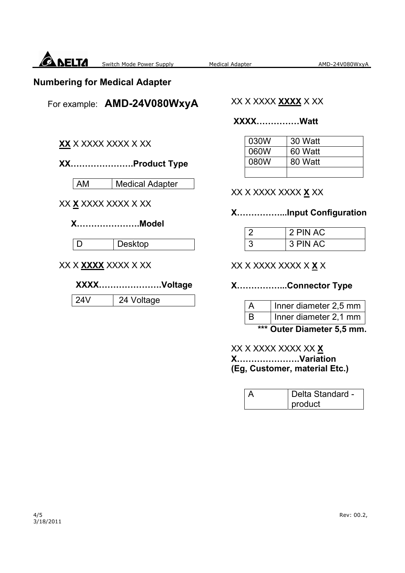

#### **Numbering for Medical Adapter**

For example: **AMD-24V080WxyA**

#### XX X XXXX **XXXX** X XX

#### **XXXX……………Watt**

| 030W | 30 Watt |
|------|---------|
| 060W | 60 Watt |
| 080W | 80 Watt |
|      |         |

## **XX………………….Product Type**

| AM | Medical Adapter

#### XX **X** XXXX XXXX X XX

**XX** X XXXX XXXX X XX

#### **X………………….Model**

D | Desktop

XX X **XXXX** XXXX X XX

#### **XXXX………………….Voltage**

24V | 24 Voltage

#### XX X XXXX XXXX **X** XX

#### **X……………...Input Configuration**

| 2 PIN AC |
|----------|
| 3 PIN AC |

### XX X XXXX XXXX X **X** X

#### **X……………...Connector Type**

| $\overline{A}$ | Inner diameter 2,5 mm |
|----------------|-----------------------|
| B              | Inner diameter 2,1 mm |
|                | المنتقص والموالية     |

 **\*\*\* Outer Diameter 5,5 mm.** 

#### XX X XXXX XXXX XX **X X………………….Variation (Eg, Customer, material Etc.)**

| $\triangleright$ | Delta Standard - |
|------------------|------------------|
|                  | product          |